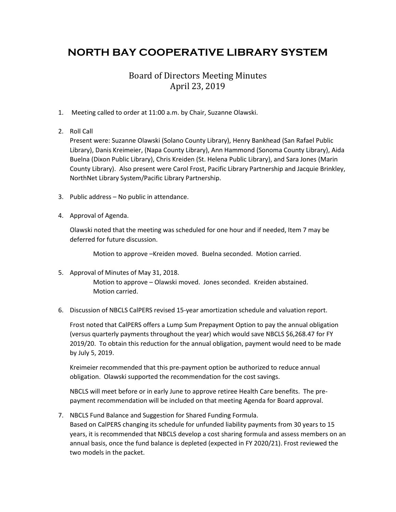## **NORTH BAY COOPERATIVE LIBRARY SYSTEM**

## Board of Directors Meeting Minutes April 23, 2019

- 1. Meeting called to order at 11:00 a.m. by Chair, Suzanne Olawski.
- 2. Roll Call

Present were: Suzanne Olawski (Solano County Library), Henry Bankhead (San Rafael Public Library), Danis Kreimeier, (Napa County Library), Ann Hammond (Sonoma County Library), Aida Buelna (Dixon Public Library), Chris Kreiden (St. Helena Public Library), and Sara Jones (Marin County Library). Also present were Carol Frost, Pacific Library Partnership and Jacquie Brinkley, NorthNet Library System/Pacific Library Partnership.

- 3. Public address No public in attendance.
- 4. Approval of Agenda.

Olawski noted that the meeting was scheduled for one hour and if needed, Item 7 may be deferred for future discussion.

Motion to approve –Kreiden moved. Buelna seconded. Motion carried.

5. Approval of Minutes of May 31, 2018.

Motion to approve – Olawski moved. Jones seconded. Kreiden abstained. Motion carried.

6. Discussion of NBCLS CalPERS revised 15-year amortization schedule and valuation report.

Frost noted that CalPERS offers a Lump Sum Prepayment Option to pay the annual obligation (versus quarterly payments throughout the year) which would save NBCLS \$6,268.47 for FY 2019/20. To obtain this reduction for the annual obligation, payment would need to be made by July 5, 2019.

Kreimeier recommended that this pre-payment option be authorized to reduce annual obligation. Olawski supported the recommendation for the cost savings.

NBCLS will meet before or in early June to approve retiree Health Care benefits. The prepayment recommendation will be included on that meeting Agenda for Board approval.

7. NBCLS Fund Balance and Suggestion for Shared Funding Formula.

Based on CalPERS changing its schedule for unfunded liability payments from 30 years to 15 years, it is recommended that NBCLS develop a cost sharing formula and assess members on an annual basis, once the fund balance is depleted (expected in FY 2020/21). Frost reviewed the two models in the packet.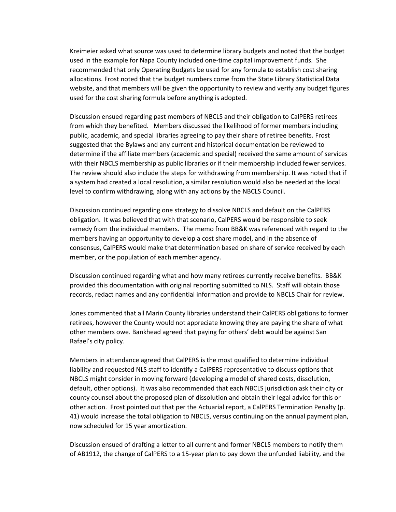Kreimeier asked what source was used to determine library budgets and noted that the budget used in the example for Napa County included one-time capital improvement funds. She recommended that only Operating Budgets be used for any formula to establish cost sharing allocations. Frost noted that the budget numbers come from the State Library Statistical Data website, and that members will be given the opportunity to review and verify any budget figures used for the cost sharing formula before anything is adopted.

Discussion ensued regarding past members of NBCLS and their obligation to CalPERS retirees from which they benefited. Members discussed the likelihood of former members including public, academic, and special libraries agreeing to pay their share of retiree benefits. Frost suggested that the Bylaws and any current and historical documentation be reviewed to determine if the affiliate members (academic and special) received the same amount of services with their NBCLS membership as public libraries or if their membership included fewer services. The review should also include the steps for withdrawing from membership. It was noted that if a system had created a local resolution, a similar resolution would also be needed at the local level to confirm withdrawing, along with any actions by the NBCLS Council.

Discussion continued regarding one strategy to dissolve NBCLS and default on the CalPERS obligation. It was believed that with that scenario, CalPERS would be responsible to seek remedy from the individual members. The memo from BB&K was referenced with regard to the members having an opportunity to develop a cost share model, and in the absence of consensus, CalPERS would make that determination based on share of service received by each member, or the population of each member agency.

Discussion continued regarding what and how many retirees currently receive benefits. BB&K provided this documentation with original reporting submitted to NLS. Staff will obtain those records, redact names and any confidential information and provide to NBCLS Chair for review.

Jones commented that all Marin County libraries understand their CalPERS obligations to former retirees, however the County would not appreciate knowing they are paying the share of what other members owe. Bankhead agreed that paying for others' debt would be against San Rafael's city policy.

Members in attendance agreed that CalPERS is the most qualified to determine individual liability and requested NLS staff to identify a CalPERS representative to discuss options that NBCLS might consider in moving forward (developing a model of shared costs, dissolution, default, other options). It was also recommended that each NBCLS jurisdiction ask their city or county counsel about the proposed plan of dissolution and obtain their legal advice for this or other action. Frost pointed out that per the Actuarial report, a CalPERS Termination Penalty (p. 41) would increase the total obligation to NBCLS, versus continuing on the annual payment plan, now scheduled for 15 year amortization.

Discussion ensued of drafting a letter to all current and former NBCLS members to notify them of AB1912, the change of CalPERS to a 15-year plan to pay down the unfunded liability, and the